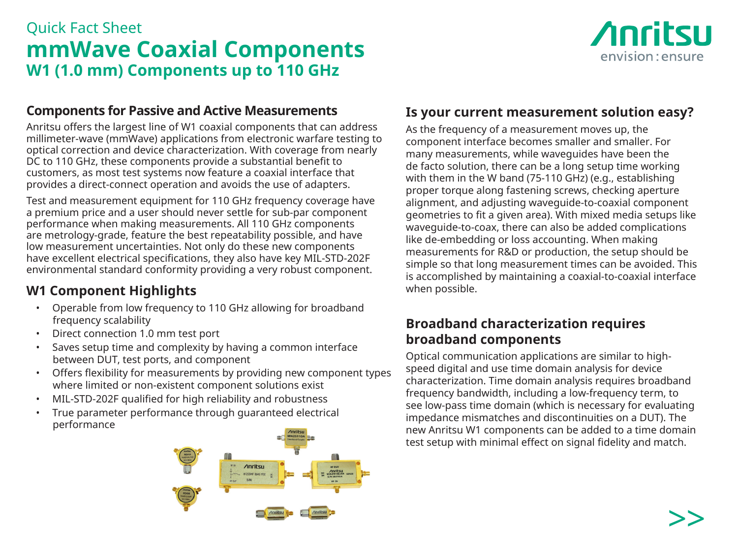# Quick Fact Sheet **mmWave Coaxial Components W1 (1.0 mm) Components up to 110 GHz**



### **Components for Passive and Active Measurements**

Anritsu offers the largest line of W1 coaxial components that can address millimeter-wave (mmWave) applications from electronic warfare testing to optical correction and device characterization. With coverage from nearly DC to 110 GHz, these components provide a substantial benefit to customers, as most test systems now feature a coaxial interface that provides a direct-connect operation and avoids the use of adapters.

Test and measurement equipment for 110 GHz frequency coverage have a premium price and a user should never settle for sub-par component performance when making measurements. All 110 GHz components are metrology-grade, feature the best repeatability possible, and have low measurement uncertainties. Not only do these new components have excellent electrical specifications, they also have key MIL-STD-202F environmental standard conformity providing a very robust component.

## **W1 Component Highlights**

- Operable from low frequency to 110 GHz allowing for broadband frequency scalability
- Direct connection 1.0 mm test port
- Saves setup time and complexity by having a common interface between DUT, test ports, and component
- Offers flexibility for measurements by providing new component types where limited or non-existent component solutions exist
- MIL-STD-202F qualified for high reliability and robustness
- True parameter performance through guaranteed electrical performance



## **Is your current measurement solution easy?**

As the frequency of a measurement moves up, the component interface becomes smaller and smaller. For many measurements, while waveguides have been the de facto solution, there can be a long setup time working with them in the W band (75-110 GHz) (e.g., establishing proper torque along fastening screws, checking aperture alignment, and adjusting waveguide-to-coaxial component geometries to fit a given area). With mixed media setups like waveguide-to-coax, there can also be added complications like de-embedding or loss accounting. When making measurements for R&D or production, the setup should be simple so that long measurement times can be avoided. This is accomplished by maintaining a coaxial-to-coaxial interface when possible.

### **Broadband characterization requires broadband components**

Optical communication applications are similar to highspeed digital and use time domain analysis for device characterization. Time domain analysis requires broadband frequency bandwidth, including a low-frequency term, to see low-pass time domain (which is necessary for evaluating impedance mismatches and discontinuities on a DUT). The new Anritsu W1 components can be added to a time domain test setup with minimal effect on signal fidelity and match.